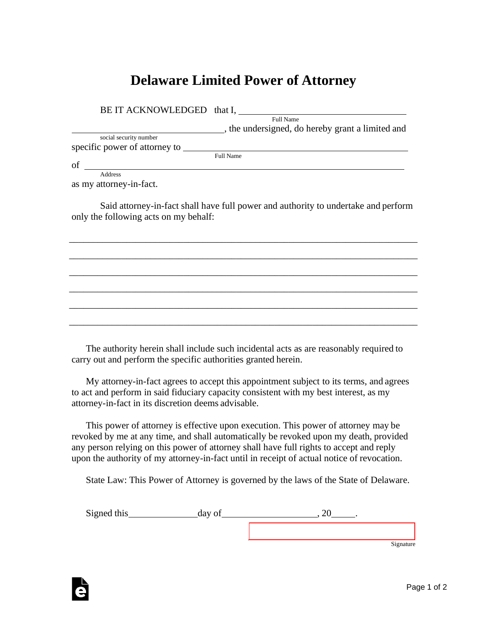## **Delaware Limited Power of Attorney**

| BE IT ACKNOWLEDGED that I,    |                                                  |
|-------------------------------|--------------------------------------------------|
|                               | Full Name                                        |
|                               | , the undersigned, do hereby grant a limited and |
| social security number        |                                                  |
| specific power of attorney to |                                                  |
|                               | <b>Full Name</b>                                 |
| of                            |                                                  |
| Address                       |                                                  |

as my attorney-in-fact.

Said attorney-in-fact shall have full power and authority to undertake and perform only the following acts on my behalf:

\_\_\_\_\_\_\_\_\_\_\_\_\_\_\_\_\_\_\_\_\_\_\_\_\_\_\_\_\_\_\_\_\_\_\_\_\_\_\_\_\_\_\_\_\_\_\_\_\_\_\_\_\_\_\_\_\_\_\_\_\_\_\_\_\_\_\_\_\_\_\_\_\_

\_\_\_\_\_\_\_\_\_\_\_\_\_\_\_\_\_\_\_\_\_\_\_\_\_\_\_\_\_\_\_\_\_\_\_\_\_\_\_\_\_\_\_\_\_\_\_\_\_\_\_\_\_\_\_\_\_\_\_\_\_\_\_\_\_\_\_\_\_\_\_\_\_

\_\_\_\_\_\_\_\_\_\_\_\_\_\_\_\_\_\_\_\_\_\_\_\_\_\_\_\_\_\_\_\_\_\_\_\_\_\_\_\_\_\_\_\_\_\_\_\_\_\_\_\_\_\_\_\_\_\_\_\_\_\_\_\_\_\_\_\_\_\_\_\_\_

\_\_\_\_\_\_\_\_\_\_\_\_\_\_\_\_\_\_\_\_\_\_\_\_\_\_\_\_\_\_\_\_\_\_\_\_\_\_\_\_\_\_\_\_\_\_\_\_\_\_\_\_\_\_\_\_\_\_\_\_\_\_\_\_\_\_\_\_\_\_\_\_\_

\_\_\_\_\_\_\_\_\_\_\_\_\_\_\_\_\_\_\_\_\_\_\_\_\_\_\_\_\_\_\_\_\_\_\_\_\_\_\_\_\_\_\_\_\_\_\_\_\_\_\_\_\_\_\_\_\_\_\_\_\_\_\_\_\_\_\_\_\_\_\_\_\_

\_\_\_\_\_\_\_\_\_\_\_\_\_\_\_\_\_\_\_\_\_\_\_\_\_\_\_\_\_\_\_\_\_\_\_\_\_\_\_\_\_\_\_\_\_\_\_\_\_\_\_\_\_\_\_\_\_\_\_\_\_\_\_\_\_\_\_\_\_\_\_\_\_

The authority herein shall include such incidental acts as are reasonably required to carry out and perform the specific authorities granted herein.

My attorney-in-fact agrees to accept this appointment subject to its terms, and agrees to act and perform in said fiduciary capacity consistent with my best interest, as my attorney-in-fact in its discretion deems advisable.

This power of attorney is effective upon execution. This power of attorney may be revoked by me at any time, and shall automatically be revoked upon my death, provided any person relying on this power of attorney shall have full rights to accept and reply upon the authority of my attorney-in-fact until in receipt of actual notice of revocation.

State Law: This Power of Attorney is governed by the laws of the State of Delaware.

Signed this day of , 20 .

Signature